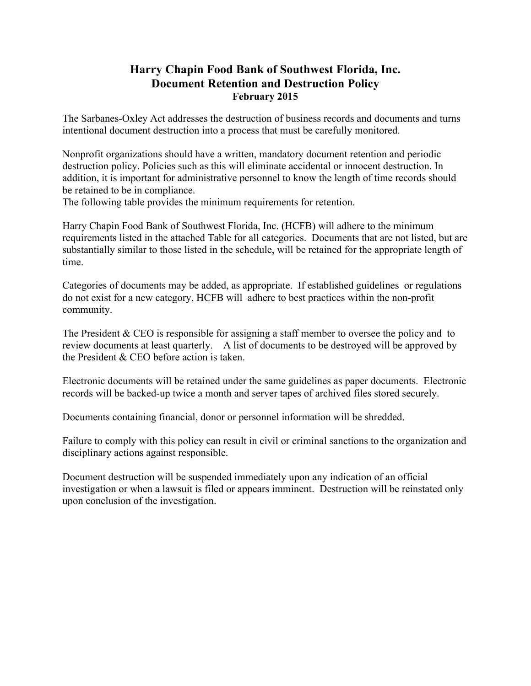## **Harry Chapin Food Bank of Southwest Florida, Inc. Document Retention and Destruction Policy February 2015**

The Sarbanes-Oxley Act addresses the destruction of business records and documents and turns intentional document destruction into a process that must be carefully monitored.

Nonprofit organizations should have a written, mandatory document retention and periodic destruction policy. Policies such as this will eliminate accidental or innocent destruction. In addition, it is important for administrative personnel to know the length of time records should be retained to be in compliance.

The following table provides the minimum requirements for retention.

Harry Chapin Food Bank of Southwest Florida, Inc. (HCFB) will adhere to the minimum requirements listed in the attached Table for all categories. Documents that are not listed, but are substantially similar to those listed in the schedule, will be retained for the appropriate length of time.

Categories of documents may be added, as appropriate. If established guidelines or regulations do not exist for a new category, HCFB will adhere to best practices within the non-profit community.

The President & CEO is responsible for assigning a staff member to oversee the policy and to review documents at least quarterly. A list of documents to be destroyed will be approved by the President  $&$  CEO before action is taken.

Electronic documents will be retained under the same guidelines as paper documents. Electronic records will be backed-up twice a month and server tapes of archived files stored securely.

Documents containing financial, donor or personnel information will be shredded.

Failure to comply with this policy can result in civil or criminal sanctions to the organization and disciplinary actions against responsible.

Document destruction will be suspended immediately upon any indication of an official investigation or when a lawsuit is filed or appears imminent. Destruction will be reinstated only upon conclusion of the investigation.